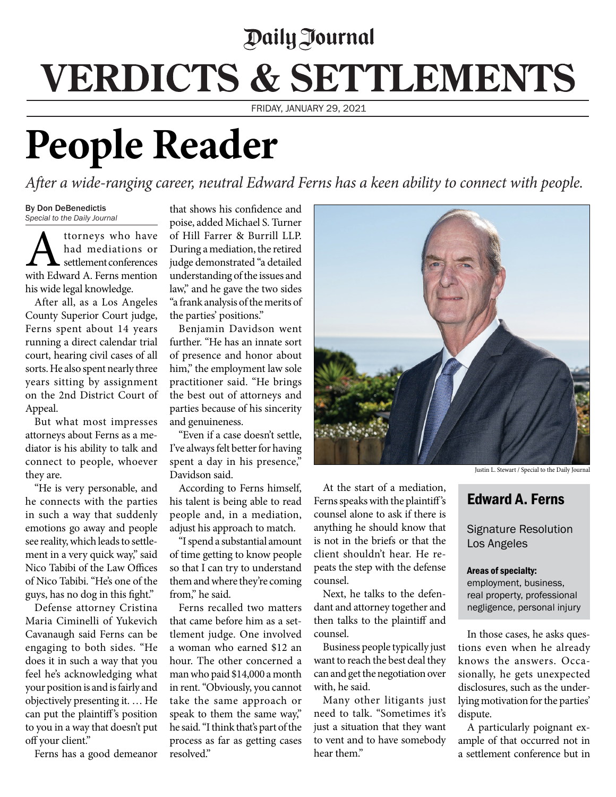## *Paily Journal* **VERDICTS & SETTLEMENTS**

FRIDAY, JANUARY 29, 2021

## **People Reader**

*After a wide-ranging career, neutral Edward Ferns has a keen ability to connect with people.*

By Don DeBenedictis *Special to the Daily Journal*

**A** ttorneys who have<br>had mediations or<br>with Edward A. Ferns mention had mediations or settlement conferences his wide legal knowledge.

After all, as a Los Angeles County Superior Court judge, Ferns spent about 14 years running a direct calendar trial court, hearing civil cases of all sorts. He also spent nearly three years sitting by assignment on the 2nd District Court of Appeal.

But what most impresses attorneys about Ferns as a mediator is his ability to talk and connect to people, whoever they are.

"He is very personable, and he connects with the parties in such a way that suddenly emotions go away and people see reality, which leads to settlement in a very quick way," said Nico Tabibi of the Law Offices of Nico Tabibi. "He's one of the guys, has no dog in this fight."

Defense attorney Cristina Maria Ciminelli of Yukevich Cavanaugh said Ferns can be engaging to both sides. "He does it in such a way that you feel he's acknowledging what your position is and is fairly and objectively presenting it. … He can put the plaintiff's position to you in a way that doesn't put off your client."

Ferns has a good demeanor

that shows his confidence and poise, added Michael S. Turner of Hill Farrer & Burrill LLP. During a mediation, the retired judge demonstrated "a detailed understanding of the issues and law," and he gave the two sides "a frank analysis of the merits of the parties' positions."

Benjamin Davidson went further. "He has an innate sort of presence and honor about him," the employment law sole practitioner said. "He brings the best out of attorneys and parties because of his sincerity and genuineness.

"Even if a case doesn't settle, I've always felt better for having spent a day in his presence," Davidson said.

According to Ferns himself, his talent is being able to read people and, in a mediation, adjust his approach to match.

"I spend a substantial amount of time getting to know people so that I can try to understand them and where they're coming from," he said.

Ferns recalled two matters that came before him as a settlement judge. One involved a woman who earned \$12 an hour. The other concerned a man who paid \$14,000 a month in rent. "Obviously, you cannot take the same approach or speak to them the same way," he said. "I think that's part of the process as far as getting cases resolved."



At the start of a mediation, Ferns speaks with the plaintiff's counsel alone to ask if there is anything he should know that is not in the briefs or that the client shouldn't hear. He repeats the step with the defense counsel.

Next, he talks to the defendant and attorney together and then talks to the plaintiff and counsel.

Business people typically just want to reach the best deal they can and get the negotiation over with, he said.

Many other litigants just need to talk. "Sometimes it's just a situation that they want to vent and to have somebody hear them."

Justin L. Stewart / Special to the Daily Journal

## Edward A. Ferns

Signature Resolution Los Angeles

## Areas of specialty:

employment, business, real property, professional negligence, personal injury

In those cases, he asks questions even when he already knows the answers. Occasionally, he gets unexpected disclosures, such as the underlying motivation for the parties' dispute.

A particularly poignant example of that occurred not in a settlement conference but in